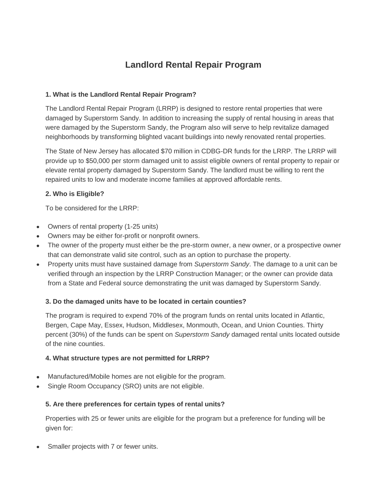# **Landlord Rental Repair Program**

# **1. What is the Landlord Rental Repair Program?**

The Landlord Rental Repair Program (LRRP) is designed to restore rental properties that were damaged by Superstorm Sandy. In addition to increasing the supply of rental housing in areas that were damaged by the Superstorm Sandy, the Program also will serve to help revitalize damaged neighborhoods by transforming blighted vacant buildings into newly renovated rental properties.

The State of New Jersey has allocated \$70 million in CDBG-DR funds for the LRRP. The LRRP will provide up to \$50,000 per storm damaged unit to assist eligible owners of rental property to repair or elevate rental property damaged by Superstorm Sandy. The landlord must be willing to rent the repaired units to low and moderate income families at approved affordable rents.

# **2. Who is Eligible?**

To be considered for the LRRP:

- Owners of rental property (1-25 units)
- Owners may be either for-profit or nonprofit owners.
- The owner of the property must either be the pre-storm owner, a new owner, or a prospective owner that can demonstrate valid site control, such as an option to purchase the property.
- Property units must have sustained damage from *Superstorm Sandy*. The damage to a unit can be verified through an inspection by the LRRP Construction Manager; or the owner can provide data from a State and Federal source demonstrating the unit was damaged by Superstorm Sandy.

## **3. Do the damaged units have to be located in certain counties?**

The program is required to expend 70% of the program funds on rental units located in Atlantic, Bergen, Cape May, Essex, Hudson, Middlesex, Monmouth, Ocean, and Union Counties. Thirty percent (30%) of the funds can be spent on *Superstorm Sandy* damaged rental units located outside of the nine counties.

## **4. What structure types are not permitted for LRRP?**

- Manufactured/Mobile homes are not eligible for the program.
- Single Room Occupancy (SRO) units are not eligible.

## **5. Are there preferences for certain types of rental units?**

Properties with 25 or fewer units are eligible for the program but a preference for funding will be given for:

Smaller projects with 7 or fewer units.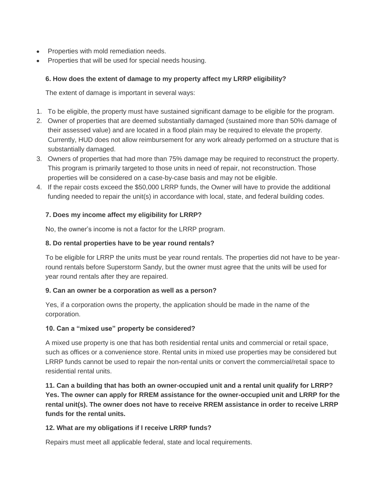- Properties with mold remediation needs.
- Properties that will be used for special needs housing.

# **6. How does the extent of damage to my property affect my LRRP eligibility?**

The extent of damage is important in several ways:

- 1. To be eligible, the property must have sustained significant damage to be eligible for the program.
- 2. Owner of properties that are deemed substantially damaged (sustained more than 50% damage of their assessed value) and are located in a flood plain may be required to elevate the property. Currently, HUD does not allow reimbursement for any work already performed on a structure that is substantially damaged.
- 3. Owners of properties that had more than 75% damage may be required to reconstruct the property. This program is primarily targeted to those units in need of repair, not reconstruction. Those properties will be considered on a case-by-case basis and may not be eligible.
- 4. If the repair costs exceed the \$50,000 LRRP funds, the Owner will have to provide the additional funding needed to repair the unit(s) in accordance with local, state, and federal building codes.

# **7. Does my income affect my eligibility for LRRP?**

No, the owner's income is not a factor for the LRRP program.

# **8. Do rental properties have to be year round rentals?**

To be eligible for LRRP the units must be year round rentals. The properties did not have to be yearround rentals before Superstorm Sandy, but the owner must agree that the units will be used for year round rentals after they are repaired.

## **9. Can an owner be a corporation as well as a person?**

Yes, if a corporation owns the property, the application should be made in the name of the corporation.

## **10. Can a "mixed use" property be considered?**

A mixed use property is one that has both residential rental units and commercial or retail space, such as offices or a convenience store. Rental units in mixed use properties may be considered but LRRP funds cannot be used to repair the non-rental units or convert the commercial/retail space to residential rental units.

**11. Can a building that has both an owner-occupied unit and a rental unit qualify for LRRP? Yes. The owner can apply for RREM assistance for the owner-occupied unit and LRRP for the rental unit(s). The owner does not have to receive RREM assistance in order to receive LRRP funds for the rental units.**

## **12. What are my obligations if I receive LRRP funds?**

Repairs must meet all applicable federal, state and local requirements.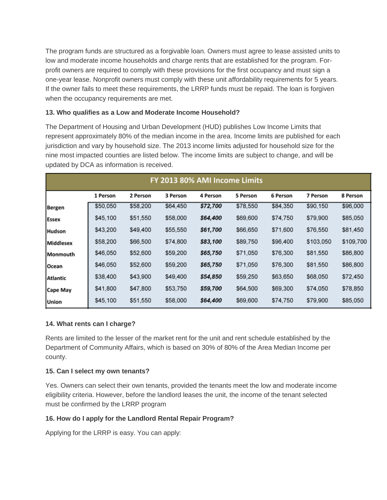The program funds are structured as a forgivable loan. Owners must agree to lease assisted units to low and moderate income households and charge rents that are established for the program. Forprofit owners are required to comply with these provisions for the first occupancy and must sign a one-year lease. Nonprofit owners must comply with these unit affordability requirements for 5 years. If the owner fails to meet these requirements, the LRRP funds must be repaid. The loan is forgiven when the occupancy requirements are met.

### **13. Who qualifies as a Low and Moderate Income Household?**

The Department of Housing and Urban Development (HUD) publishes Low Income Limits that represent approximately 80% of the median income in the area. Income limits are published for each jurisdiction and vary by household size. The 2013 income limits adjusted for household size for the nine most impacted counties are listed below. The income limits are subject to change, and will be updated by DCA as information is received.

| FY 2013 80% AMI Income Limits |          |          |          |          |          |          |           |           |
|-------------------------------|----------|----------|----------|----------|----------|----------|-----------|-----------|
|                               | 1 Person | 2 Person | 3 Person | 4 Person | 5 Person | 6 Person | 7 Person  | 8 Person  |
| Bergen                        | \$50,050 | \$58,200 | \$64,450 | \$72,700 | \$78,550 | \$84,350 | \$90,150  | \$96,000  |
| <b>Essex</b>                  | \$45,100 | \$51,550 | \$58,000 | \$64,400 | \$69,600 | \$74,750 | \$79,900  | \$85,050  |
| <b>Hudson</b>                 | \$43,200 | \$49,400 | \$55,550 | \$61,700 | \$66,650 | \$71,600 | \$76,550  | \$81,450  |
| Middlesex                     | \$58,200 | \$66,500 | \$74,800 | \$83,100 | \$89,750 | \$96,400 | \$103,050 | \$109,700 |
| Monmouth                      | \$46,050 | \$52,600 | \$59,200 | \$65,750 | \$71,050 | \$76,300 | \$81,550  | \$86,800  |
| Ocean                         | \$46,050 | \$52,600 | \$59,200 | \$65,750 | \$71,050 | \$76,300 | \$81,550  | \$86,800  |
| Atlantic                      | \$38,400 | \$43,900 | \$49,400 | \$54,850 | \$59,250 | \$63,650 | \$68,050  | \$72,450  |
| Cape May                      | \$41,800 | \$47,800 | \$53,750 | \$59,700 | \$64,500 | \$69,300 | \$74,050  | \$78,850  |
| <b>Union</b>                  | \$45,100 | \$51,550 | \$58,000 | \$64,400 | \$69,600 | \$74,750 | \$79,900  | \$85,050  |

#### **14. What rents can I charge?**

Rents are limited to the lesser of the market rent for the unit and rent schedule established by the Department of Community Affairs, which is based on 30% of 80% of the Area Median Income per county.

#### **15. Can I select my own tenants?**

Yes. Owners can select their own tenants, provided the tenants meet the low and moderate income eligibility criteria. However, before the landlord leases the unit, the income of the tenant selected must be confirmed by the LRRP program

## **16. How do I apply for the Landlord Rental Repair Program?**

Applying for the LRRP is easy. You can apply: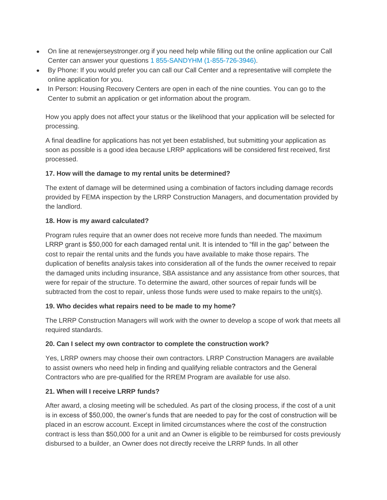- On line at renewjerseystronger.org if you need help while filling out the online application our Call Center can answer your questions [1 855-SANDYHM \(1-855-726-3946\).](tel:18557263946)
- By Phone: If you would prefer you can call our Call Center and a representative will complete the online application for you.
- In Person: Housing Recovery Centers are open in each of the nine counties. You can go to the Center to submit an application or get information about the program.

How you apply does not affect your status or the likelihood that your application will be selected for processing.

A final deadline for applications has not yet been established, but submitting your application as soon as possible is a good idea because LRRP applications will be considered first received, first processed.

# **17. How will the damage to my rental units be determined?**

The extent of damage will be determined using a combination of factors including damage records provided by FEMA inspection by the LRRP Construction Managers, and documentation provided by the landlord.

# **18. How is my award calculated?**

Program rules require that an owner does not receive more funds than needed. The maximum LRRP grant is \$50,000 for each damaged rental unit. It is intended to "fill in the gap" between the cost to repair the rental units and the funds you have available to make those repairs. The duplication of benefits analysis takes into consideration all of the funds the owner received to repair the damaged units including insurance, SBA assistance and any assistance from other sources, that were for repair of the structure. To determine the award, other sources of repair funds will be subtracted from the cost to repair, unless those funds were used to make repairs to the unit(s).

## **19. Who decides what repairs need to be made to my home?**

The LRRP Construction Managers will work with the owner to develop a scope of work that meets all required standards.

## **20. Can I select my own contractor to complete the construction work?**

Yes, LRRP owners may choose their own contractors. LRRP Construction Managers are available to assist owners who need help in finding and qualifying reliable contractors and the General Contractors who are pre-qualified for the RREM Program are available for use also.

# **21. When will I receive LRRP funds?**

After award, a closing meeting will be scheduled. As part of the closing process, if the cost of a unit is in excess of \$50,000, the owner's funds that are needed to pay for the cost of construction will be placed in an escrow account. Except in limited circumstances where the cost of the construction contract is less than \$50,000 for a unit and an Owner is eligible to be reimbursed for costs previously disbursed to a builder, an Owner does not directly receive the LRRP funds. In all other